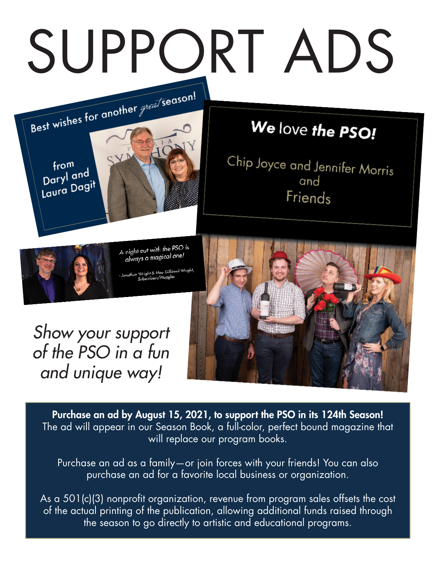## SUPPORT ADS



## We love the PSO!

Chip Joyce and Jennifer Morris and Friends



A night out with the PSO is night out will like the



*Show your support of the PSO in a fun and unique way!*

Purchase an ad by August 15, 2021, to support the PSO in its 124th Season! The ad will appear in our Season Book, a full-color, perfect bound magazine that will replace our program books.

Purchase an ad as a family—or join forces with your friends! You can also purchase an ad for a favorite local business or organization.

As a 501(c)(3) nonprofit organization, revenue from program sales offsets the cost of the actual printing of the publication, allowing additional funds raised through the season to go directly to artistic and educational programs.